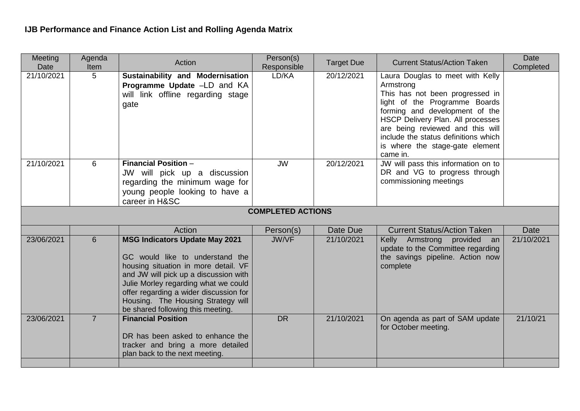| <b>Meeting</b><br>Date   | Agenda<br>Item | Action                                                                                                                                                                                                                                                                                                                 | Person(s)<br>Responsible | <b>Target Due</b> | <b>Current Status/Action Taken</b>                                                                                                                                                                                                                                                                                  | Date<br>Completed |  |  |  |  |
|--------------------------|----------------|------------------------------------------------------------------------------------------------------------------------------------------------------------------------------------------------------------------------------------------------------------------------------------------------------------------------|--------------------------|-------------------|---------------------------------------------------------------------------------------------------------------------------------------------------------------------------------------------------------------------------------------------------------------------------------------------------------------------|-------------------|--|--|--|--|
| 21/10/2021               | 5              | <b>Sustainability and Modernisation</b><br>Programme Update -LD and KA<br>will link offline regarding stage<br>gate                                                                                                                                                                                                    | LD/KA                    | 20/12/2021        | Laura Douglas to meet with Kelly<br>Armstrong<br>This has not been progressed in<br>light of the Programme Boards<br>forming and development of the<br>HSCP Delivery Plan. All processes<br>are being reviewed and this will<br>include the status definitions which<br>is where the stage-gate element<br>came in. |                   |  |  |  |  |
| 21/10/2021               | 6              | <b>Financial Position -</b><br>JW will pick up a discussion<br>regarding the minimum wage for<br>young people looking to have a<br>career in H&SC                                                                                                                                                                      | <b>JW</b>                | 20/12/2021        | JW will pass this information on to<br>DR and VG to progress through<br>commissioning meetings                                                                                                                                                                                                                      |                   |  |  |  |  |
| <b>COMPLETED ACTIONS</b> |                |                                                                                                                                                                                                                                                                                                                        |                          |                   |                                                                                                                                                                                                                                                                                                                     |                   |  |  |  |  |
|                          |                | Action                                                                                                                                                                                                                                                                                                                 | Person(s)                | Date Due          | <b>Current Status/Action Taken</b>                                                                                                                                                                                                                                                                                  | <b>Date</b>       |  |  |  |  |
| 23/06/2021               | 6              | <b>MSG Indicators Update May 2021</b><br>GC would like to understand the<br>housing situation in more detail. VF<br>and JW will pick up a discussion with<br>Julie Morley regarding what we could<br>offer regarding a wider discussion for<br>Housing. The Housing Strategy will<br>be shared following this meeting. | <b>JW/VF</b>             | 21/10/2021        | Kelly Armstrong provided an<br>update to the Committee regarding<br>the savings pipeline. Action now<br>complete                                                                                                                                                                                                    | 21/10/2021        |  |  |  |  |
| 23/06/2021               | $\overline{7}$ | <b>Financial Position</b><br>DR has been asked to enhance the<br>tracker and bring a more detailed<br>plan back to the next meeting.                                                                                                                                                                                   | <b>DR</b>                | 21/10/2021        | On agenda as part of SAM update<br>for October meeting.                                                                                                                                                                                                                                                             | 21/10/21          |  |  |  |  |
|                          |                |                                                                                                                                                                                                                                                                                                                        |                          |                   |                                                                                                                                                                                                                                                                                                                     |                   |  |  |  |  |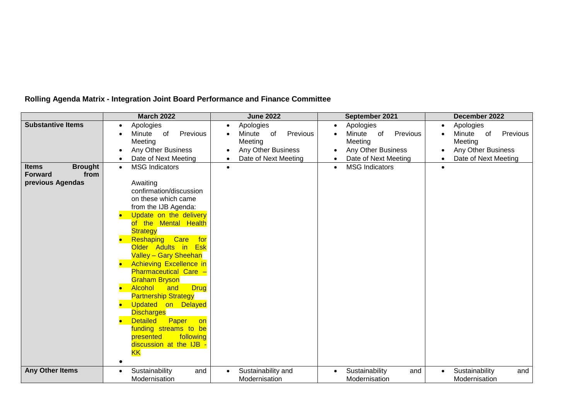|                                | <b>March 2022</b>                                    | <b>June 2022</b><br>September 2021 |                          | December 2022                      |  |
|--------------------------------|------------------------------------------------------|------------------------------------|--------------------------|------------------------------------|--|
| <b>Substantive Items</b>       | Apologies<br>$\bullet$                               | Apologies<br>$\bullet$             | Apologies                | Apologies<br>$\bullet$             |  |
|                                | Previous<br>Minute<br>of                             | Previous<br>Minute<br>of           | Previous<br>Minute<br>of | Minute<br>Previous<br>of           |  |
|                                | Meeting                                              | Meeting                            | Meeting                  | Meeting                            |  |
|                                | Any Other Business<br>$\bullet$                      | Any Other Business                 | Any Other Business       | Any Other Business                 |  |
|                                | Date of Next Meeting<br>$\bullet$                    | Date of Next Meeting               | Date of Next Meeting     | Date of Next Meeting               |  |
| <b>Brought</b><br><b>Items</b> | <b>MSG Indicators</b><br>$\bullet$                   | $\bullet$                          | <b>MSG Indicators</b>    | $\bullet$                          |  |
| <b>Forward</b><br>from         |                                                      |                                    |                          |                                    |  |
| previous Agendas               | Awaiting<br>confirmation/discussion                  |                                    |                          |                                    |  |
|                                | on these which came                                  |                                    |                          |                                    |  |
|                                | from the IJB Agenda:                                 |                                    |                          |                                    |  |
|                                | Update on the delivery<br>$\bullet$                  |                                    |                          |                                    |  |
|                                | of the Mental Health                                 |                                    |                          |                                    |  |
|                                | <b>Strategy</b>                                      |                                    |                          |                                    |  |
|                                | Reshaping<br>Care<br>for                             |                                    |                          |                                    |  |
|                                | Older Adults in<br><b>Esk</b>                        |                                    |                          |                                    |  |
|                                | <b>Valley - Gary Sheehan</b>                         |                                    |                          |                                    |  |
|                                | <b>Achieving Excellence in</b>                       |                                    |                          |                                    |  |
|                                | <b>Pharmaceutical Care -</b>                         |                                    |                          |                                    |  |
|                                | <b>Graham Bryson</b>                                 |                                    |                          |                                    |  |
|                                | Alcohol<br><b>Drug</b><br>and<br>b                   |                                    |                          |                                    |  |
|                                | <b>Partnership Strategy</b>                          |                                    |                          |                                    |  |
|                                | Updated on Delayed<br>$\bullet$<br><b>Discharges</b> |                                    |                          |                                    |  |
|                                | <b>Detailed</b><br>Paper<br>on                       |                                    |                          |                                    |  |
|                                | funding streams to be                                |                                    |                          |                                    |  |
|                                | presented<br>following                               |                                    |                          |                                    |  |
|                                | discussion at the IJB -                              |                                    |                          |                                    |  |
|                                | <b>KK</b>                                            |                                    |                          |                                    |  |
|                                |                                                      |                                    |                          |                                    |  |
| <b>Any Other Items</b>         | Sustainability<br>and<br>$\bullet$                   | Sustainability and<br>$\bullet$    | Sustainability<br>and    | Sustainability<br>and<br>$\bullet$ |  |
|                                | Modernisation                                        | Modernisation                      | Modernisation            | Modernisation                      |  |

## **Rolling Agenda Matrix - Integration Joint Board Performance and Finance Committee**